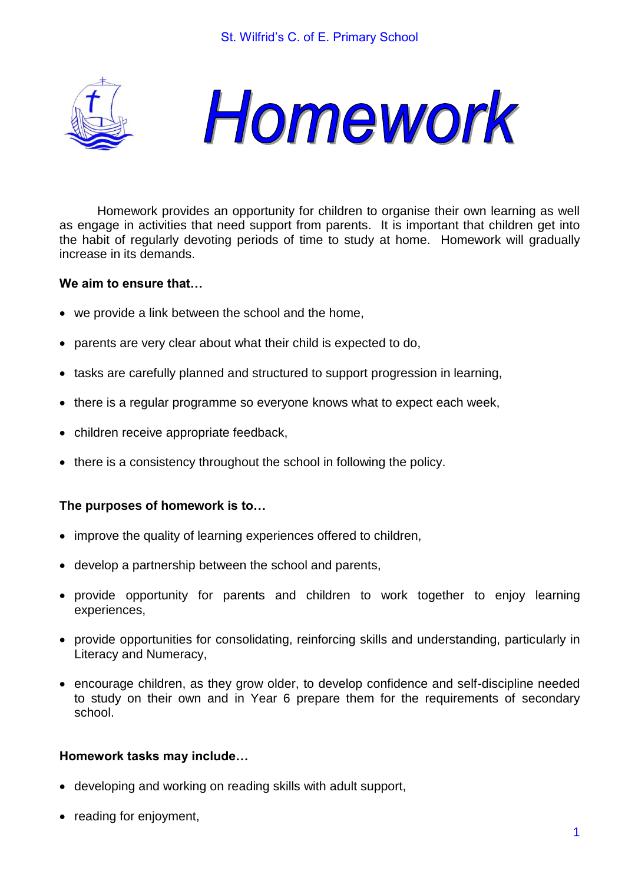



Homework provides an opportunity for children to organise their own learning as well as engage in activities that need support from parents. It is important that children get into the habit of regularly devoting periods of time to study at home. Homework will gradually increase in its demands.

### **We aim to ensure that…**

- we provide a link between the school and the home,
- parents are very clear about what their child is expected to do,
- tasks are carefully planned and structured to support progression in learning,
- there is a regular programme so everyone knows what to expect each week,
- children receive appropriate feedback,
- there is a consistency throughout the school in following the policy.

# **The purposes of homework is to…**

- improve the quality of learning experiences offered to children,
- develop a partnership between the school and parents,
- provide opportunity for parents and children to work together to enjoy learning experiences,
- provide opportunities for consolidating, reinforcing skills and understanding, particularly in Literacy and Numeracy,
- encourage children, as they grow older, to develop confidence and self-discipline needed to study on their own and in Year 6 prepare them for the requirements of secondary school.

# **Homework tasks may include…**

- developing and working on reading skills with adult support,
- reading for enjoyment,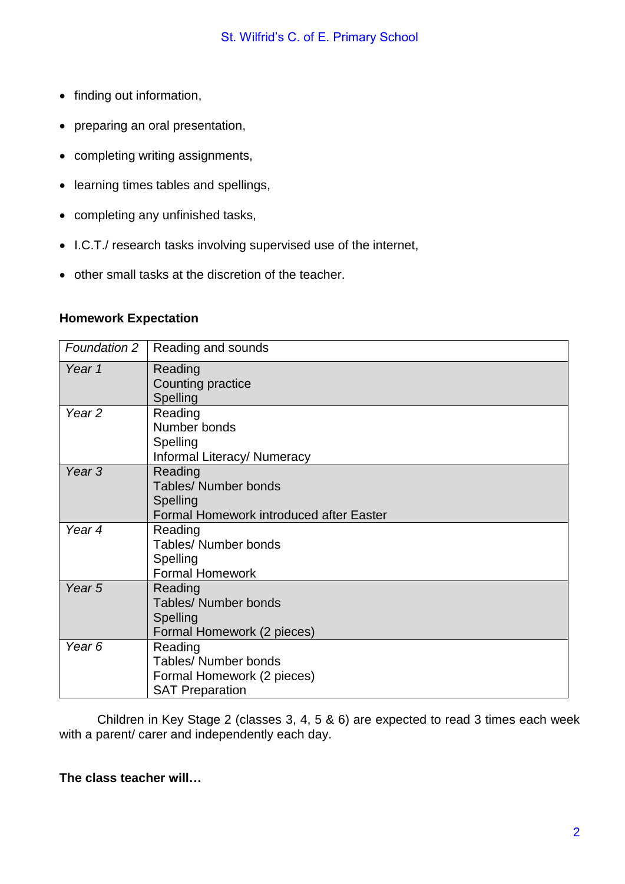- finding out information,
- preparing an oral presentation,
- completing writing assignments,
- learning times tables and spellings,
- completing any unfinished tasks,
- I.C.T./ research tasks involving supervised use of the internet,
- other small tasks at the discretion of the teacher.

### **Homework Expectation**

| <b>Foundation 2</b> | Reading and sounds                                                                             |
|---------------------|------------------------------------------------------------------------------------------------|
| Year 1              | Reading<br>Counting practice<br>Spelling                                                       |
| Year <sub>2</sub>   | Reading<br>Number bonds<br>Spelling<br>Informal Literacy/ Numeracy                             |
| Year <sub>3</sub>   | Reading<br><b>Tables/ Number bonds</b><br>Spelling<br>Formal Homework introduced after Easter  |
| Year 4              | Reading<br><b>Tables/ Number bonds</b><br>Spelling<br><b>Formal Homework</b>                   |
| Year <sub>5</sub>   | Reading<br><b>Tables/ Number bonds</b><br>Spelling<br>Formal Homework (2 pieces)               |
| Year <sub>6</sub>   | Reading<br><b>Tables/ Number bonds</b><br>Formal Homework (2 pieces)<br><b>SAT Preparation</b> |

Children in Key Stage 2 (classes 3, 4, 5 & 6) are expected to read 3 times each week with a parent/ carer and independently each day.

# **The class teacher will…**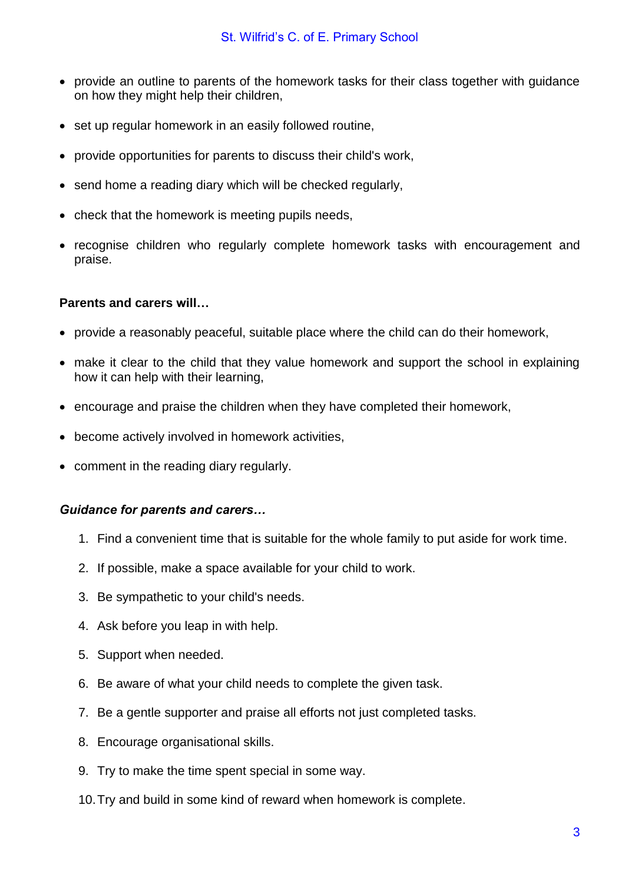- provide an outline to parents of the homework tasks for their class together with guidance on how they might help their children,
- set up regular homework in an easily followed routine,
- provide opportunities for parents to discuss their child's work,
- send home a reading diary which will be checked regularly,
- check that the homework is meeting pupils needs,
- recognise children who regularly complete homework tasks with encouragement and praise.

### **Parents and carers will…**

- provide a reasonably peaceful, suitable place where the child can do their homework,
- make it clear to the child that they value homework and support the school in explaining how it can help with their learning,
- encourage and praise the children when they have completed their homework,
- become actively involved in homework activities,
- comment in the reading diary regularly.

#### *Guidance for parents and carers…*

- 1. Find a convenient time that is suitable for the whole family to put aside for work time.
- 2. If possible, make a space available for your child to work.
- 3. Be sympathetic to your child's needs.
- 4. Ask before you leap in with help.
- 5. Support when needed.
- 6. Be aware of what your child needs to complete the given task.
- 7. Be a gentle supporter and praise all efforts not just completed tasks.
- 8. Encourage organisational skills.
- 9. Try to make the time spent special in some way.
- 10.Try and build in some kind of reward when homework is complete.